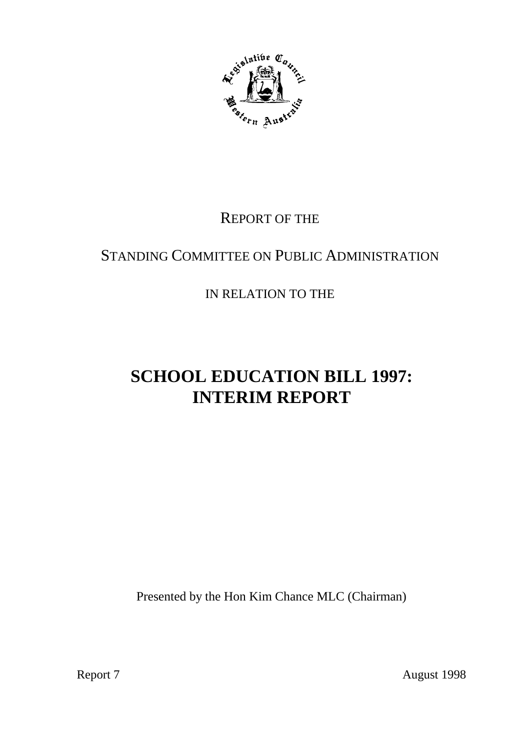

# REPORT OF THE

# STANDING COMMITTEE ON PUBLIC ADMINISTRATION

IN RELATION TO THE

# **SCHOOL EDUCATION BILL 1997: INTERIM REPORT**

Presented by the Hon Kim Chance MLC (Chairman)

Report 7 August 1998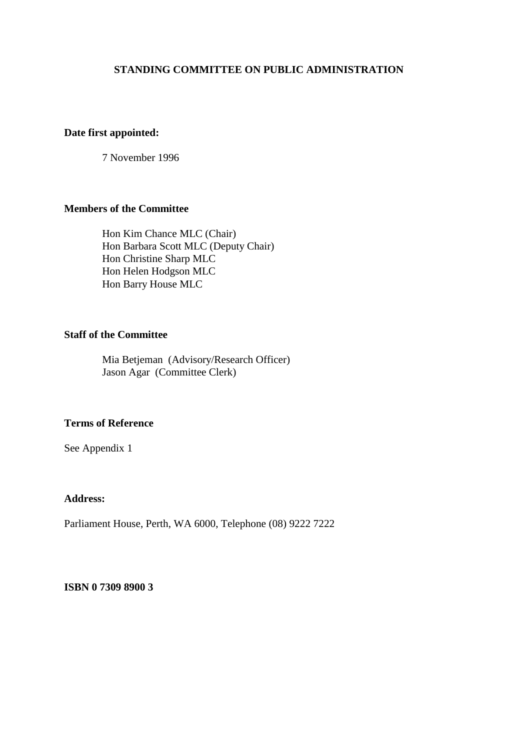#### **STANDING COMMITTEE ON PUBLIC ADMINISTRATION**

#### **Date first appointed:**

7 November 1996

#### **Members of the Committee**

Hon Kim Chance MLC (Chair) Hon Barbara Scott MLC (Deputy Chair) Hon Christine Sharp MLC Hon Helen Hodgson MLC Hon Barry House MLC

#### **Staff of the Committee**

Mia Betjeman (Advisory/Research Officer) Jason Agar (Committee Clerk)

#### **Terms of Reference**

See Appendix 1

#### **Address:**

Parliament House, Perth, WA 6000, Telephone (08) 9222 7222

**ISBN 0 7309 8900 3**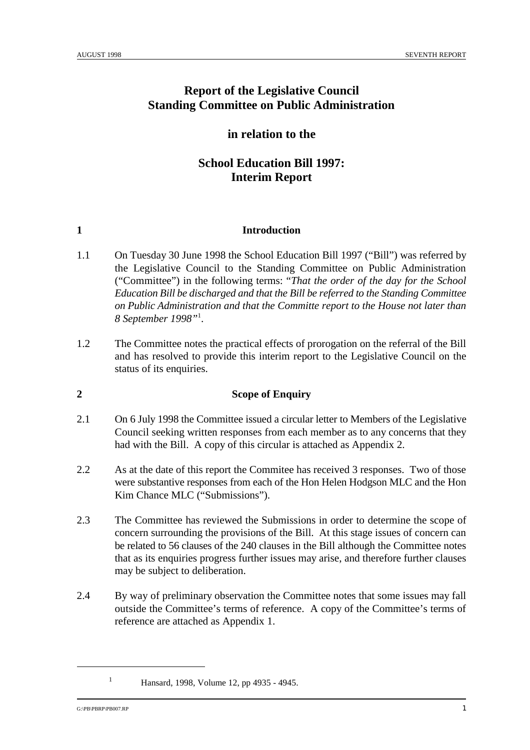# **Report of the Legislative Council Standing Committee on Public Administration**

### **in relation to the**

# **School Education Bill 1997: Interim Report**

#### **1 Introduction**

- 1.1 On Tuesday 30 June 1998 the School Education Bill 1997 ("Bill") was referred by the Legislative Council to the Standing Committee on Public Administration ("Committee") in the following terms: "*That the order of the day for the School Education Bill be discharged and that the Bill be referred to the Standing Committee on Public Administration and that the Committe report to the House not later than 8 September 1998"* . 1
- 1.2 The Committee notes the practical effects of prorogation on the referral of the Bill and has resolved to provide this interim report to the Legislative Council on the status of its enquiries.

## **2 Scope of Enquiry**

- 2.1 On 6 July 1998 the Committee issued a circular letter to Members of the Legislative Council seeking written responses from each member as to any concerns that they had with the Bill. A copy of this circular is attached as Appendix 2.
- 2.2 As at the date of this report the Commitee has received 3 responses. Two of those were substantive responses from each of the Hon Helen Hodgson MLC and the Hon Kim Chance MLC ("Submissions").
- 2.3 The Committee has reviewed the Submissions in order to determine the scope of concern surrounding the provisions of the Bill. At this stage issues of concern can be related to 56 clauses of the 240 clauses in the Bill although the Committee notes that as its enquiries progress further issues may arise, and therefore further clauses may be subject to deliberation.
- 2.4 By way of preliminary observation the Committee notes that some issues may fall outside the Committee's terms of reference. A copy of the Committee's terms of reference are attached as Appendix 1.

 $G:\text{PBFPRPPB007.RP}$  1

<sup>&</sup>lt;sup>1</sup> Hansard, 1998, Volume 12, pp 4935 - 4945.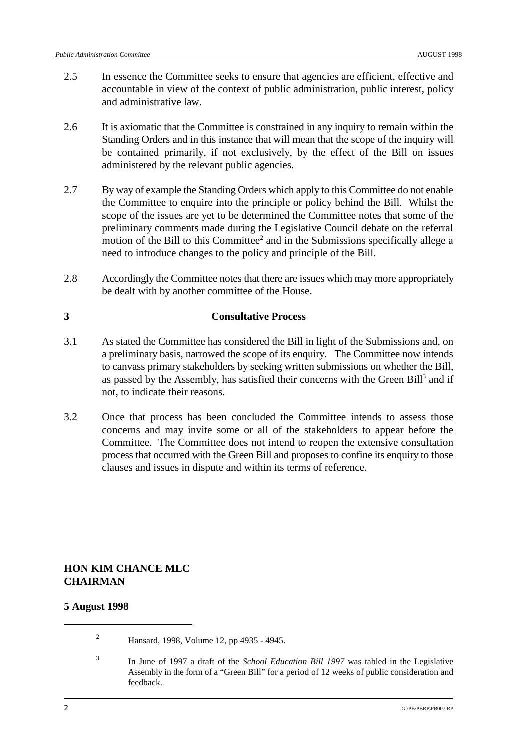- 2.5 In essence the Committee seeks to ensure that agencies are efficient, effective and accountable in view of the context of public administration, public interest, policy and administrative law.
- 2.6 It is axiomatic that the Committee is constrained in any inquiry to remain within the Standing Orders and in this instance that will mean that the scope of the inquiry will be contained primarily, if not exclusively, by the effect of the Bill on issues administered by the relevant public agencies.
- 2.7 By way of example the Standing Orders which apply to this Committee do not enable the Committee to enquire into the principle or policy behind the Bill. Whilst the scope of the issues are yet to be determined the Committee notes that some of the preliminary comments made during the Legislative Council debate on the referral motion of the Bill to this Committee<sup>2</sup> and in the Submissions specifically allege a need to introduce changes to the policy and principle of the Bill.
- 2.8 Accordingly the Committee notes that there are issues which may more appropriately be dealt with by another committee of the House.

#### **3 Consultative Process**

- 3.1 As stated the Committee has considered the Bill in light of the Submissions and, on a preliminary basis, narrowed the scope of its enquiry. The Committee now intends to canvass primary stakeholders by seeking written submissions on whether the Bill, as passed by the Assembly, has satisfied their concerns with the Green Bill<sup>3</sup> and if not, to indicate their reasons.
- 3.2 Once that process has been concluded the Committee intends to assess those concerns and may invite some or all of the stakeholders to appear before the Committee. The Committee does not intend to reopen the extensive consultation process that occurred with the Green Bill and proposes to confine its enquiry to those clauses and issues in dispute and within its terms of reference.

#### **HON KIM CHANCE MLC CHAIRMAN**

#### **5 August 1998**

<sup>2</sup> Hansard, 1998, Volume 12, pp 4935 - 4945.

<sup>&</sup>lt;sup>3</sup> In June of 1997 a draft of the *School Education Bill 1997* was tabled in the Legislative Assembly in the form of a "Green Bill" for a period of 12 weeks of public consideration and feedback.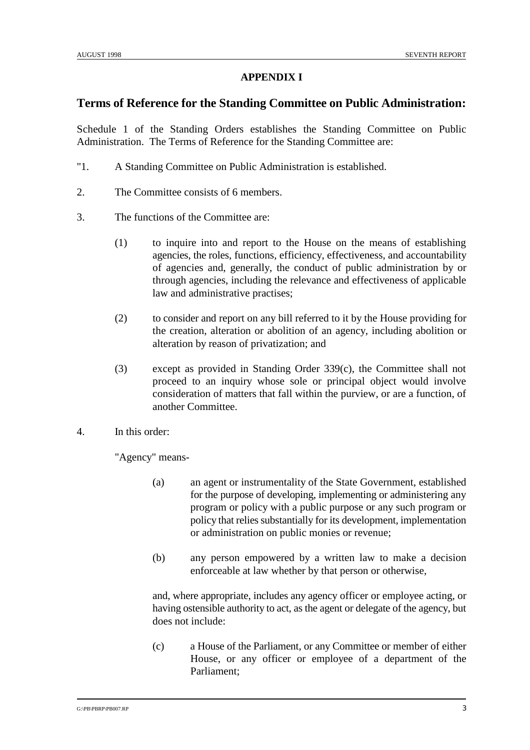#### **APPENDIX I**

#### **Terms of Reference for the Standing Committee on Public Administration:**

Schedule 1 of the Standing Orders establishes the Standing Committee on Public Administration. The Terms of Reference for the Standing Committee are:

- "1. A Standing Committee on Public Administration is established.
- 2. The Committee consists of 6 members.
- 3. The functions of the Committee are:
	- (1) to inquire into and report to the House on the means of establishing agencies, the roles, functions, efficiency, effectiveness, and accountability of agencies and, generally, the conduct of public administration by or through agencies, including the relevance and effectiveness of applicable law and administrative practises;
	- (2) to consider and report on any bill referred to it by the House providing for the creation, alteration or abolition of an agency, including abolition or alteration by reason of privatization; and
	- (3) except as provided in Standing Order 339(c), the Committee shall not proceed to an inquiry whose sole or principal object would involve consideration of matters that fall within the purview, or are a function, of another Committee.
- 4. In this order:

"Agency" means-

- (a) an agent or instrumentality of the State Government, established for the purpose of developing, implementing or administering any program or policy with a public purpose or any such program or policy that relies substantially for its development, implementation or administration on public monies or revenue;
- (b) any person empowered by a written law to make a decision enforceable at law whether by that person or otherwise,

and, where appropriate, includes any agency officer or employee acting, or having ostensible authority to act, as the agent or delegate of the agency, but does not include:

(c) a House of the Parliament, or any Committee or member of either House, or any officer or employee of a department of the Parliament;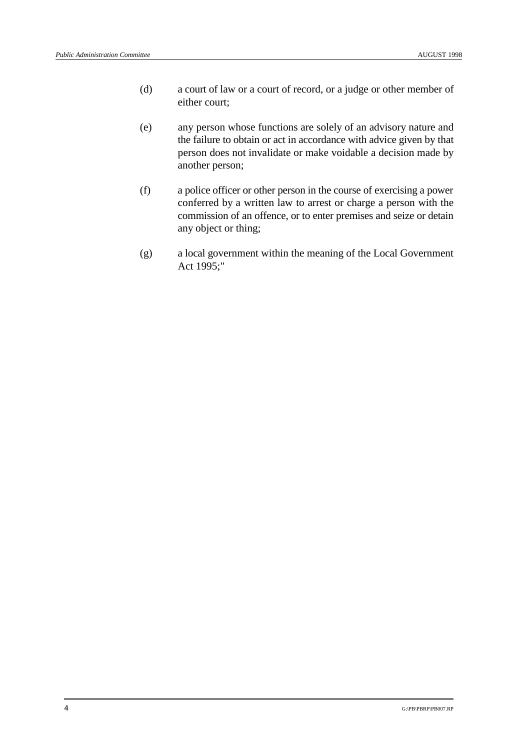- (d) a court of law or a court of record, or a judge or other member of either court;
- (e) any person whose functions are solely of an advisory nature and the failure to obtain or act in accordance with advice given by that person does not invalidate or make voidable a decision made by another person;
- (f) a police officer or other person in the course of exercising a power conferred by a written law to arrest or charge a person with the commission of an offence, or to enter premises and seize or detain any object or thing;
- (g) a local government within the meaning of the Local Government Act 1995;"